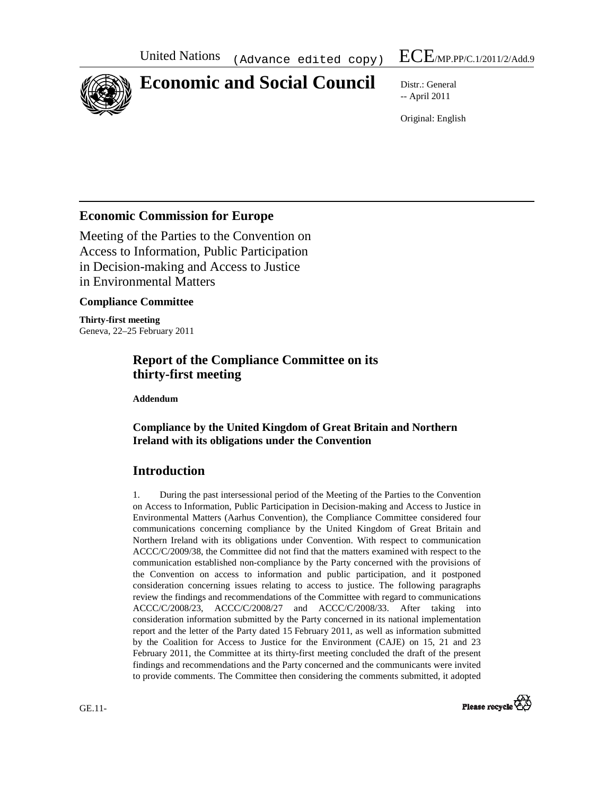

# **Economic and Social Council** Distr.: General

-- April 2011

Original: English

## **Economic Commission for Europe**

Meeting of the Parties to the Convention on Access to Information, Public Participation in Decision-making and Access to Justice in Environmental Matters

#### **Compliance Committee**

**Thirty-first meeting**  Geneva, 22–25 February 2011

# **Report of the Compliance Committee on its thirty-first meeting**

 **Addendum** 

### **Compliance by the United Kingdom of Great Britain and Northern Ireland with its obligations under the Convention**

# **Introduction**

1. During the past intersessional period of the Meeting of the Parties to the Convention on Access to Information, Public Participation in Decision-making and Access to Justice in Environmental Matters (Aarhus Convention), the Compliance Committee considered four communications concerning compliance by the United Kingdom of Great Britain and Northern Ireland with its obligations under Convention. With respect to communication ACCC/C/2009/38, the Committee did not find that the matters examined with respect to the communication established non-compliance by the Party concerned with the provisions of the Convention on access to information and public participation, and it postponed consideration concerning issues relating to access to justice. The following paragraphs review the findings and recommendations of the Committee with regard to communications ACCC/C/2008/23, ACCC/C/2008/27 and ACCC/C/2008/33. After taking into consideration information submitted by the Party concerned in its national implementation report and the letter of the Party dated 15 February 2011, as well as information submitted by the Coalition for Access to Justice for the Environment (CAJE) on 15, 21 and 23 February 2011, the Committee at its thirty-first meeting concluded the draft of the present findings and recommendations and the Party concerned and the communicants were invited to provide comments. The Committee then considering the comments submitted, it adopted

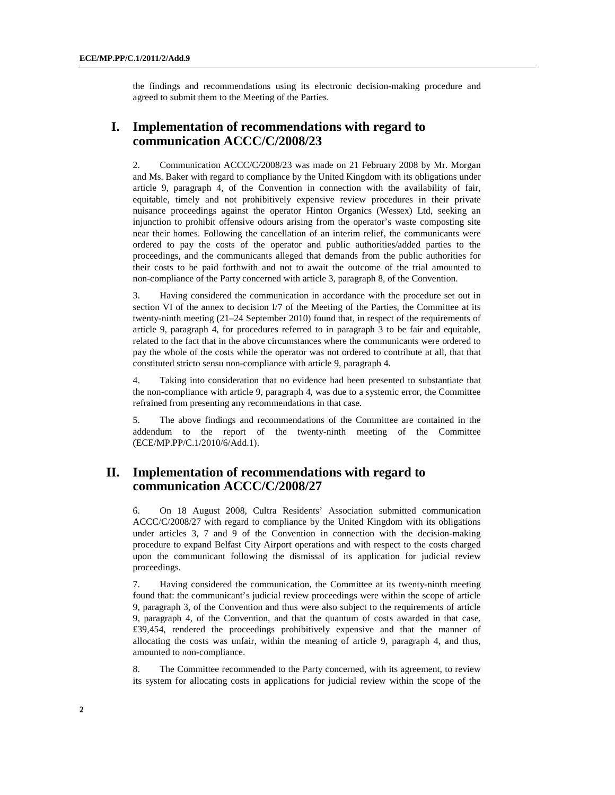the findings and recommendations using its electronic decision-making procedure and agreed to submit them to the Meeting of the Parties.

## **I. Implementation of recommendations with regard to communication ACCC/C/2008/23**

2. Communication ACCC/C/2008/23 was made on 21 February 2008 by Mr. Morgan and Ms. Baker with regard to compliance by the United Kingdom with its obligations under article 9, paragraph 4, of the Convention in connection with the availability of fair, equitable, timely and not prohibitively expensive review procedures in their private nuisance proceedings against the operator Hinton Organics (Wessex) Ltd, seeking an injunction to prohibit offensive odours arising from the operator's waste composting site near their homes. Following the cancellation of an interim relief, the communicants were ordered to pay the costs of the operator and public authorities/added parties to the proceedings, and the communicants alleged that demands from the public authorities for their costs to be paid forthwith and not to await the outcome of the trial amounted to non-compliance of the Party concerned with article 3, paragraph 8, of the Convention.

3. Having considered the communication in accordance with the procedure set out in section VI of the annex to decision I/7 of the Meeting of the Parties, the Committee at its twenty-ninth meeting (21–24 September 2010) found that, in respect of the requirements of article 9, paragraph 4, for procedures referred to in paragraph 3 to be fair and equitable, related to the fact that in the above circumstances where the communicants were ordered to pay the whole of the costs while the operator was not ordered to contribute at all, that that constituted stricto sensu non-compliance with article 9, paragraph 4.

4. Taking into consideration that no evidence had been presented to substantiate that the non-compliance with article 9, paragraph 4, was due to a systemic error, the Committee refrained from presenting any recommendations in that case.

5. The above findings and recommendations of the Committee are contained in the addendum to the report of the twenty-ninth meeting of the Committee (ECE/MP.PP/C.1/2010/6/Add.1).

## **II. Implementation of recommendations with regard to communication ACCC/C/2008/27**

6. On 18 August 2008, Cultra Residents' Association submitted communication ACCC/C/2008/27 with regard to compliance by the United Kingdom with its obligations under articles 3, 7 and 9 of the Convention in connection with the decision-making procedure to expand Belfast City Airport operations and with respect to the costs charged upon the communicant following the dismissal of its application for judicial review proceedings.

7. Having considered the communication, the Committee at its twenty-ninth meeting found that: the communicant's judicial review proceedings were within the scope of article 9, paragraph 3, of the Convention and thus were also subject to the requirements of article 9, paragraph 4, of the Convention, and that the quantum of costs awarded in that case, £39,454, rendered the proceedings prohibitively expensive and that the manner of allocating the costs was unfair, within the meaning of article 9, paragraph 4, and thus, amounted to non-compliance.

8. The Committee recommended to the Party concerned, with its agreement, to review its system for allocating costs in applications for judicial review within the scope of the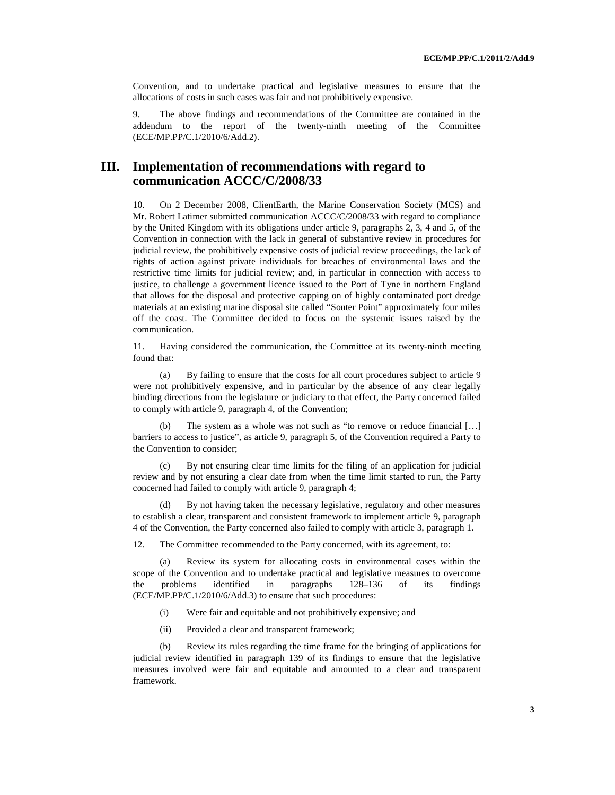Convention, and to undertake practical and legislative measures to ensure that the allocations of costs in such cases was fair and not prohibitively expensive.

9. The above findings and recommendations of the Committee are contained in the addendum to the report of the twenty-ninth meeting of the Committee (ECE/MP.PP/C.1/2010/6/Add.2).

## **III. Implementation of recommendations with regard to communication ACCC/C/2008/33**

10. On 2 December 2008, ClientEarth, the Marine Conservation Society (MCS) and Mr. Robert Latimer submitted communication ACCC/C/2008/33 with regard to compliance by the United Kingdom with its obligations under article 9, paragraphs 2, 3, 4 and 5, of the Convention in connection with the lack in general of substantive review in procedures for judicial review, the prohibitively expensive costs of judicial review proceedings, the lack of rights of action against private individuals for breaches of environmental laws and the restrictive time limits for judicial review; and, in particular in connection with access to justice, to challenge a government licence issued to the Port of Tyne in northern England that allows for the disposal and protective capping on of highly contaminated port dredge materials at an existing marine disposal site called "Souter Point" approximately four miles off the coast. The Committee decided to focus on the systemic issues raised by the communication.

11. Having considered the communication, the Committee at its twenty-ninth meeting found that:

(a) By failing to ensure that the costs for all court procedures subject to article 9 were not prohibitively expensive, and in particular by the absence of any clear legally binding directions from the legislature or judiciary to that effect, the Party concerned failed to comply with article 9, paragraph 4, of the Convention;

(b) The system as a whole was not such as "to remove or reduce financial […] barriers to access to justice", as article 9, paragraph 5, of the Convention required a Party to the Convention to consider;

(c) By not ensuring clear time limits for the filing of an application for judicial review and by not ensuring a clear date from when the time limit started to run, the Party concerned had failed to comply with article 9, paragraph 4;

(d) By not having taken the necessary legislative, regulatory and other measures to establish a clear, transparent and consistent framework to implement article 9, paragraph 4 of the Convention, the Party concerned also failed to comply with article 3, paragraph 1.

12. The Committee recommended to the Party concerned, with its agreement, to:

(a) Review its system for allocating costs in environmental cases within the scope of the Convention and to undertake practical and legislative measures to overcome the problems identified in paragraphs 128–136 of its findings (ECE/MP.PP/C.1/2010/6/Add.3) to ensure that such procedures:

- (i) Were fair and equitable and not prohibitively expensive; and
- (ii) Provided a clear and transparent framework;

(b) Review its rules regarding the time frame for the bringing of applications for judicial review identified in paragraph 139 of its findings to ensure that the legislative measures involved were fair and equitable and amounted to a clear and transparent framework.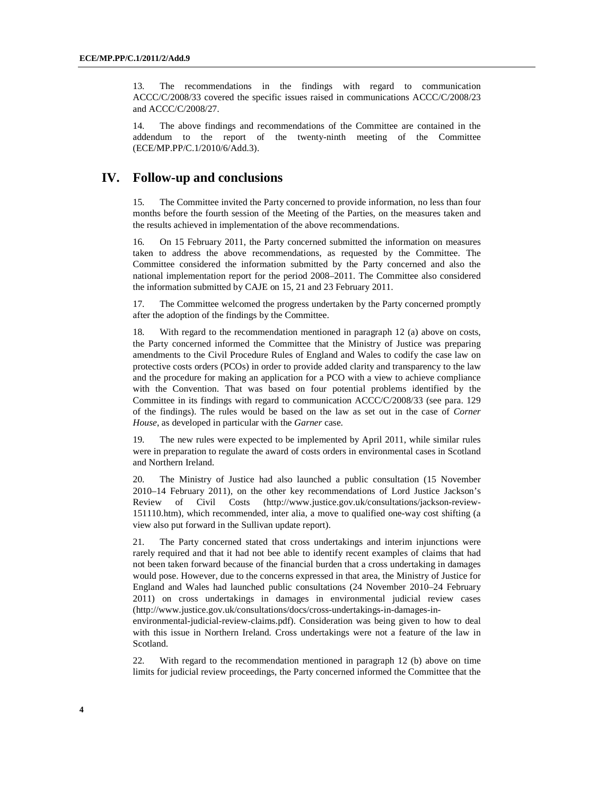13. The recommendations in the findings with regard to communication ACCC/C/2008/33 covered the specific issues raised in communications ACCC/C/2008/23 and ACCC/C/2008/27.

14. The above findings and recommendations of the Committee are contained in the addendum to the report of the twenty-ninth meeting of the Committee (ECE/MP.PP/C.1/2010/6/Add.3).

#### **IV. Follow-up and conclusions**

15. The Committee invited the Party concerned to provide information, no less than four months before the fourth session of the Meeting of the Parties, on the measures taken and the results achieved in implementation of the above recommendations.

16. On 15 February 2011, the Party concerned submitted the information on measures taken to address the above recommendations, as requested by the Committee. The Committee considered the information submitted by the Party concerned and also the national implementation report for the period 2008–2011. The Committee also considered the information submitted by CAJE on 15, 21 and 23 February 2011.

17. The Committee welcomed the progress undertaken by the Party concerned promptly after the adoption of the findings by the Committee.

18. With regard to the recommendation mentioned in paragraph 12 (a) above on costs, the Party concerned informed the Committee that the Ministry of Justice was preparing amendments to the Civil Procedure Rules of England and Wales to codify the case law on protective costs orders (PCOs) in order to provide added clarity and transparency to the law and the procedure for making an application for a PCO with a view to achieve compliance with the Convention. That was based on four potential problems identified by the Committee in its findings with regard to communication ACCC/C/2008/33 (see para. 129 of the findings). The rules would be based on the law as set out in the case of *Corner House*, as developed in particular with the *Garner* case.

19. The new rules were expected to be implemented by April 2011, while similar rules were in preparation to regulate the award of costs orders in environmental cases in Scotland and Northern Ireland.

20. The Ministry of Justice had also launched a public consultation (15 November 2010–14 February 2011), on the other key recommendations of Lord Justice Jackson's Review of Civil Costs (http://www.justice.gov.uk/consultations/jackson-review-151110.htm), which recommended, inter alia, a move to qualified one-way cost shifting (a view also put forward in the Sullivan update report).

21. The Party concerned stated that cross undertakings and interim injunctions were rarely required and that it had not bee able to identify recent examples of claims that had not been taken forward because of the financial burden that a cross undertaking in damages would pose. However, due to the concerns expressed in that area, the Ministry of Justice for England and Wales had launched public consultations (24 November 2010–24 February 2011) on cross undertakings in damages in environmental judicial review cases (http://www.justice.gov.uk/consultations/docs/cross-undertakings-in-damages-in-

environmental-judicial-review-claims.pdf). Consideration was being given to how to deal with this issue in Northern Ireland. Cross undertakings were not a feature of the law in Scotland.

22. With regard to the recommendation mentioned in paragraph 12 (b) above on time limits for judicial review proceedings, the Party concerned informed the Committee that the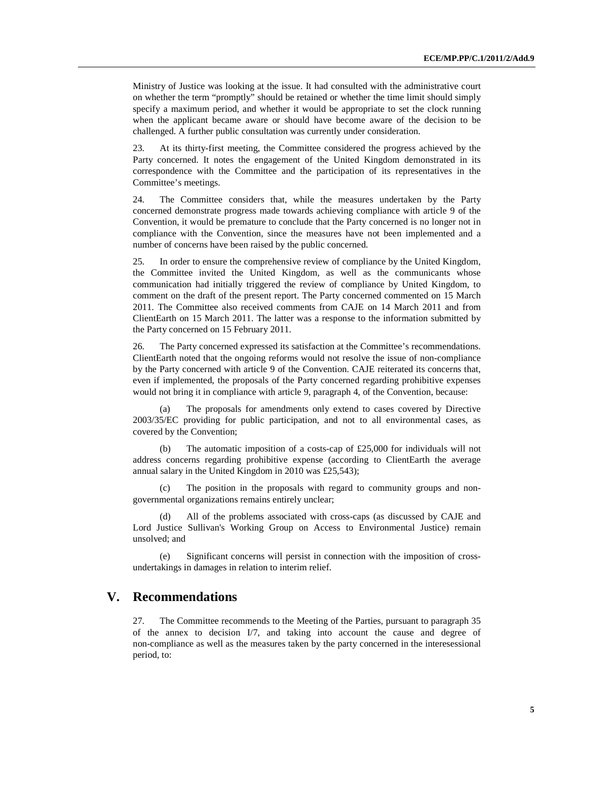Ministry of Justice was looking at the issue. It had consulted with the administrative court on whether the term "promptly" should be retained or whether the time limit should simply specify a maximum period, and whether it would be appropriate to set the clock running when the applicant became aware or should have become aware of the decision to be challenged. A further public consultation was currently under consideration.

23. At its thirty-first meeting, the Committee considered the progress achieved by the Party concerned. It notes the engagement of the United Kingdom demonstrated in its correspondence with the Committee and the participation of its representatives in the Committee's meetings.

24. The Committee considers that, while the measures undertaken by the Party concerned demonstrate progress made towards achieving compliance with article 9 of the Convention, it would be premature to conclude that the Party concerned is no longer not in compliance with the Convention, since the measures have not been implemented and a number of concerns have been raised by the public concerned.

25. In order to ensure the comprehensive review of compliance by the United Kingdom, the Committee invited the United Kingdom, as well as the communicants whose communication had initially triggered the review of compliance by United Kingdom, to comment on the draft of the present report. The Party concerned commented on 15 March 2011. The Committee also received comments from CAJE on 14 March 2011 and from ClientEarth on 15 March 2011. The latter was a response to the information submitted by the Party concerned on 15 February 2011.

26. The Party concerned expressed its satisfaction at the Committee's recommendations. ClientEarth noted that the ongoing reforms would not resolve the issue of non-compliance by the Party concerned with article 9 of the Convention. CAJE reiterated its concerns that, even if implemented, the proposals of the Party concerned regarding prohibitive expenses would not bring it in compliance with article 9, paragraph 4, of the Convention, because:

(a) The proposals for amendments only extend to cases covered by Directive 2003/35/EC providing for public participation, and not to all environmental cases, as covered by the Convention;

(b) The automatic imposition of a costs-cap of £25,000 for individuals will not address concerns regarding prohibitive expense (according to ClientEarth the average annual salary in the United Kingdom in 2010 was £25,543);

(c) The position in the proposals with regard to community groups and nongovernmental organizations remains entirely unclear;

All of the problems associated with cross-caps (as discussed by CAJE and Lord Justice Sullivan's Working Group on Access to Environmental Justice) remain unsolved; and

(e) Significant concerns will persist in connection with the imposition of crossundertakings in damages in relation to interim relief.

#### **V. Recommendations**

27. The Committee recommends to the Meeting of the Parties, pursuant to paragraph 35 of the annex to decision I/7, and taking into account the cause and degree of non-compliance as well as the measures taken by the party concerned in the interesessional period, to: